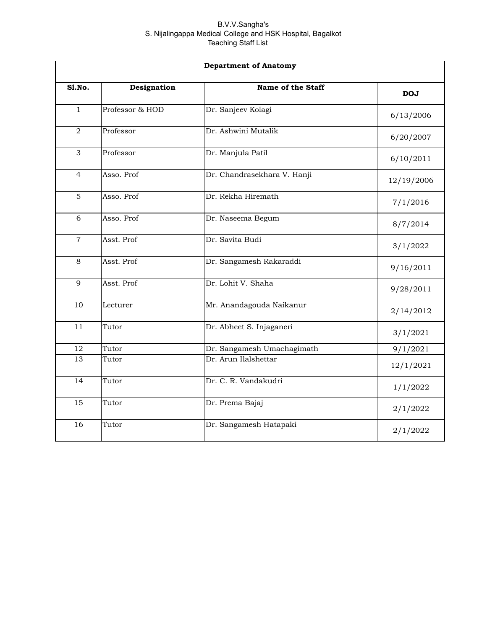| <b>Department of Anatomy</b> |                 |                             |            |
|------------------------------|-----------------|-----------------------------|------------|
| S1.No.                       | Designation     | Name of the Staff           | <b>DOJ</b> |
| $\mathbf{1}$                 | Professor & HOD | Dr. Sanjeev Kolagi          | 6/13/2006  |
| 2                            | Professor       | Dr. Ashwini Mutalik         | 6/20/2007  |
| 3                            | Professor       | Dr. Manjula Patil           | 6/10/2011  |
| $\overline{4}$               | Asso. Prof      | Dr. Chandrasekhara V. Hanji | 12/19/2006 |
| 5                            | Asso. Prof      | Dr. Rekha Hiremath          | 7/1/2016   |
| 6                            | Asso. Prof      | Dr. Naseema Begum           | 8/7/2014   |
| $\overline{7}$               | Asst. Prof      | Dr. Savita Budi             | 3/1/2022   |
| 8                            | Asst. Prof      | Dr. Sangamesh Rakaraddi     | 9/16/2011  |
| 9                            | Asst. Prof      | Dr. Lohit V. Shaha          | 9/28/2011  |
| 10                           | Lecturer        | Mr. Anandagouda Naikanur    | 2/14/2012  |
| 11                           | Tutor           | Dr. Abheet S. Injaganeri    | 3/1/2021   |
| 12                           | Tutor           | Dr. Sangamesh Umachagimath  | 9/1/2021   |
| 13                           | Tutor           | Dr. Arun Ilalshettar        | 12/1/2021  |
| 14                           | Tutor           | Dr. C. R. Vandakudri        | 1/1/2022   |
| 15                           | Tutor           | Dr. Prema Bajaj             | 2/1/2022   |
| 16                           | Tutor           | Dr. Sangamesh Hatapaki      | 2/1/2022   |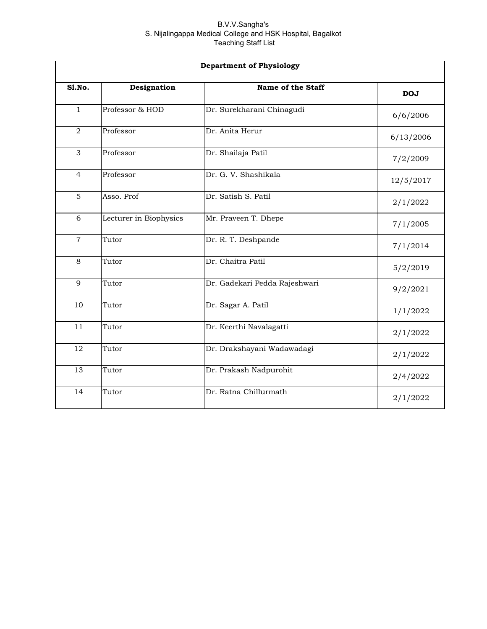|                 | <b>Department of Physiology</b> |                               |            |  |
|-----------------|---------------------------------|-------------------------------|------------|--|
| S1.No.          | Designation                     | Name of the Staff             | <b>DOJ</b> |  |
| $\mathbf{1}$    | Professor & HOD                 | Dr. Surekharani Chinagudi     | 6/6/2006   |  |
| 2               | Professor                       | Dr. Anita Herur               | 6/13/2006  |  |
| 3               | Professor                       | Dr. Shailaja Patil            | 7/2/2009   |  |
| $\overline{4}$  | Professor                       | Dr. G. V. Shashikala          | 12/5/2017  |  |
| 5               | Asso. Prof                      | Dr. Satish S. Patil           | 2/1/2022   |  |
| 6               | Lecturer in Biophysics          | Mr. Praveen T. Dhepe          | 7/1/2005   |  |
| $\overline{7}$  | Tutor                           | Dr. R. T. Deshpande           | 7/1/2014   |  |
| 8               | Tutor                           | Dr. Chaitra Patil             | 5/2/2019   |  |
| 9               | Tutor                           | Dr. Gadekari Pedda Rajeshwari | 9/2/2021   |  |
| 10              | Tutor                           | Dr. Sagar A. Patil            | 1/1/2022   |  |
| 11              | Tutor                           | Dr. Keerthi Navalagatti       | 2/1/2022   |  |
| 12              | Tutor                           | Dr. Drakshayani Wadawadagi    | 2/1/2022   |  |
| 13              | Tutor                           | Dr. Prakash Nadpurohit        | 2/4/2022   |  |
| $\overline{14}$ | Tutor                           | Dr. Ratna Chillurmath         | 2/1/2022   |  |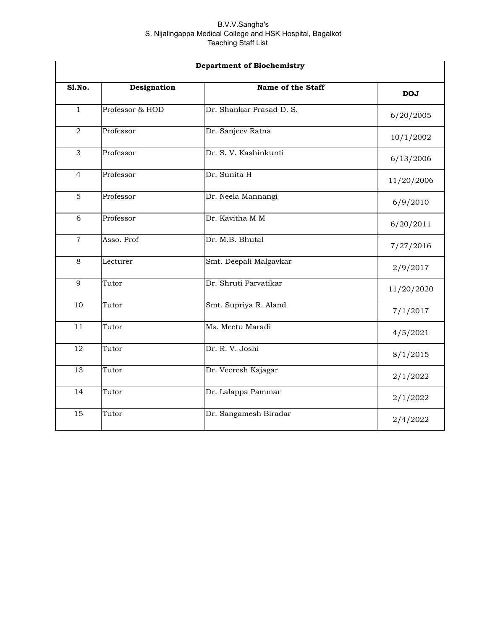|                | <b>Department of Biochemistry</b> |                          |            |  |
|----------------|-----------------------------------|--------------------------|------------|--|
| <b>S1.No.</b>  | Designation                       | Name of the Staff        | <b>DOJ</b> |  |
| $\mathbf{1}$   | Professor & HOD                   | Dr. Shankar Prasad D. S. | 6/20/2005  |  |
| $\overline{2}$ | Professor                         | Dr. Sanjeev Ratna        | 10/1/2002  |  |
| 3              | Professor                         | Dr. S. V. Kashinkunti    | 6/13/2006  |  |
| $\overline{4}$ | Professor                         | Dr. Sunita H             | 11/20/2006 |  |
| 5              | Professor                         | Dr. Neela Mannangi       | 6/9/2010   |  |
| 6              | Professor                         | Dr. Kavitha M M          | 6/20/2011  |  |
| $\overline{7}$ | Asso. Prof                        | Dr. M.B. Bhutal          | 7/27/2016  |  |
| 8              | Lecturer                          | Smt. Deepali Malgavkar   | 2/9/2017   |  |
| 9              | Tutor                             | Dr. Shruti Parvatikar    | 11/20/2020 |  |
| 10             | Tutor                             | Smt. Supriya R. Aland    | 7/1/2017   |  |
| 11             | Tutor                             | Ms. Meetu Maradi         | 4/5/2021   |  |
| 12             | Tutor                             | Dr. R. V. Joshi          | 8/1/2015   |  |
| 13             | Tutor                             | Dr. Veeresh Kajagar      | 2/1/2022   |  |
| 14             | Tutor                             | Dr. Lalappa Pammar       | 2/1/2022   |  |
| 15             | Tutor                             | Dr. Sangamesh Biradar    | 2/4/2022   |  |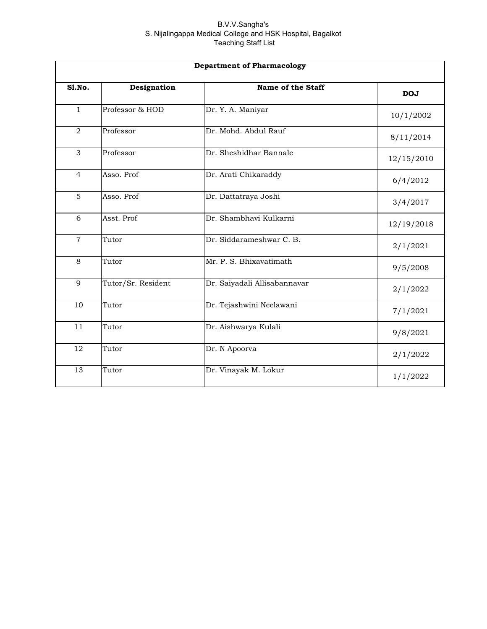| <b>Department of Pharmacology</b> |                    |                              |            |
|-----------------------------------|--------------------|------------------------------|------------|
| <b>S1.No.</b>                     | Designation        | Name of the Staff            | <b>DOJ</b> |
| $\mathbf{1}$                      | Professor & HOD    | Dr. Y. A. Maniyar            | 10/1/2002  |
| $\overline{2}$                    | Professor          | Dr. Mohd. Abdul Rauf         | 8/11/2014  |
| 3                                 | Professor          | Dr. Sheshidhar Bannale       | 12/15/2010 |
| $\overline{4}$                    | Asso. Prof         | Dr. Arati Chikaraddy         | 6/4/2012   |
| 5                                 | Asso. Prof         | Dr. Dattatraya Joshi         | 3/4/2017   |
| 6                                 | Asst. Prof         | Dr. Shambhavi Kulkarni       | 12/19/2018 |
| $\overline{7}$                    | Tutor              | Dr. Siddarameshwar C. B.     | 2/1/2021   |
| 8                                 | Tutor              | Mr. P. S. Bhixavatimath      | 9/5/2008   |
| 9                                 | Tutor/Sr. Resident | Dr. Saiyadali Allisabannavar | 2/1/2022   |
| 10                                | Tutor              | Dr. Tejashwini Neelawani     | 7/1/2021   |
| 11                                | Tutor              | Dr. Aishwarya Kulali         | 9/8/2021   |
| 12                                | Tutor              | Dr. N Apoorva                | 2/1/2022   |
| 13                                | Tutor              | Dr. Vinayak M. Lokur         | 1/1/2022   |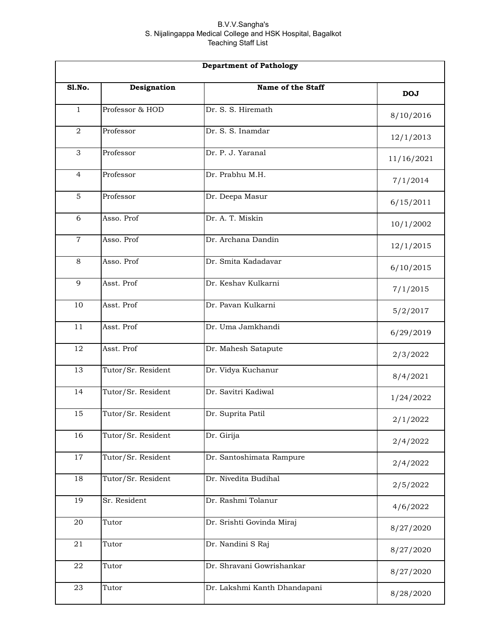| <b>Department of Pathology</b> |                    |                              |            |
|--------------------------------|--------------------|------------------------------|------------|
| Sl.No.                         | Designation        | Name of the Staff            | <b>DOJ</b> |
| $\mathbf{1}$                   | Professor & HOD    | Dr. S. S. Hiremath           | 8/10/2016  |
| $\overline{2}$                 | Professor          | Dr. S. S. Inamdar            | 12/1/2013  |
| 3                              | Professor          | Dr. P. J. Yaranal            | 11/16/2021 |
| $\overline{4}$                 | Professor          | Dr. Prabhu M.H.              | 7/1/2014   |
| $\overline{5}$                 | Professor          | Dr. Deepa Masur              | 6/15/2011  |
| 6                              | Asso. Prof         | Dr. A. T. Miskin             | 10/1/2002  |
| $\overline{7}$                 | Asso. Prof         | Dr. Archana Dandin           | 12/1/2015  |
| 8                              | Asso. Prof         | Dr. Smita Kadadavar          | 6/10/2015  |
| 9                              | Asst. Prof         | Dr. Keshav Kulkarni          | 7/1/2015   |
| 10                             | Asst. Prof         | Dr. Pavan Kulkarni           | 5/2/2017   |
| 11                             | Asst. Prof         | Dr. Uma Jamkhandi            | 6/29/2019  |
| 12                             | Asst. Prof         | Dr. Mahesh Satapute          | 2/3/2022   |
| 13                             | Tutor/Sr. Resident | Dr. Vidya Kuchanur           | 8/4/2021   |
| 14                             | Tutor/Sr. Resident | Dr. Savitri Kadiwal          | 1/24/2022  |
| 15                             | Tutor/Sr. Resident | Dr. Suprita Patil            | 2/1/2022   |
| 16                             | Tutor/Sr. Resident | Dr. Girija                   | 2/4/2022   |
| 17                             | Tutor/Sr. Resident | Dr. Santoshimata Rampure     | 2/4/2022   |
| 18                             | Tutor/Sr. Resident | Dr. Nivedita Budihal         | 2/5/2022   |
| 19                             | Sr. Resident       | Dr. Rashmi Tolanur           | 4/6/2022   |
| 20                             | Tutor              | Dr. Srishti Govinda Miraj    | 8/27/2020  |
| 21                             | Tutor              | Dr. Nandini S Raj            | 8/27/2020  |
| ${\bf 22}$                     | Tutor              | Dr. Shravani Gowrishankar    | 8/27/2020  |
| 23                             | Tutor              | Dr. Lakshmi Kanth Dhandapani | 8/28/2020  |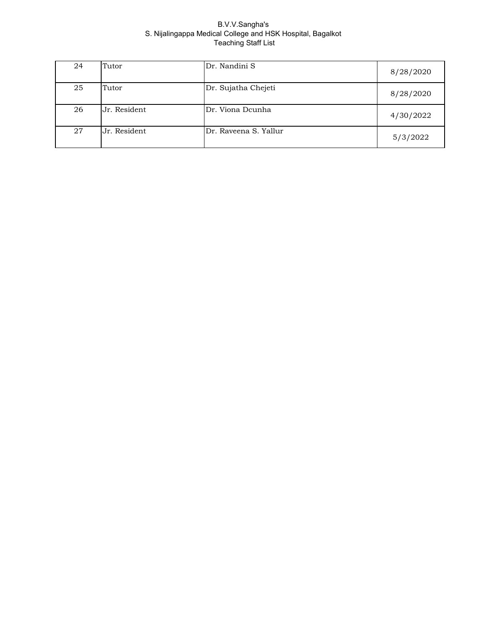| 24 | Tutor        | Dr. Nandini S         | 8/28/2020 |
|----|--------------|-----------------------|-----------|
| 25 | Tutor        | Dr. Sujatha Chejeti   | 8/28/2020 |
| 26 | Jr. Resident | Dr. Viona Dcunha      | 4/30/2022 |
| 27 | Jr. Resident | Dr. Raveena S. Yallur | 5/3/2022  |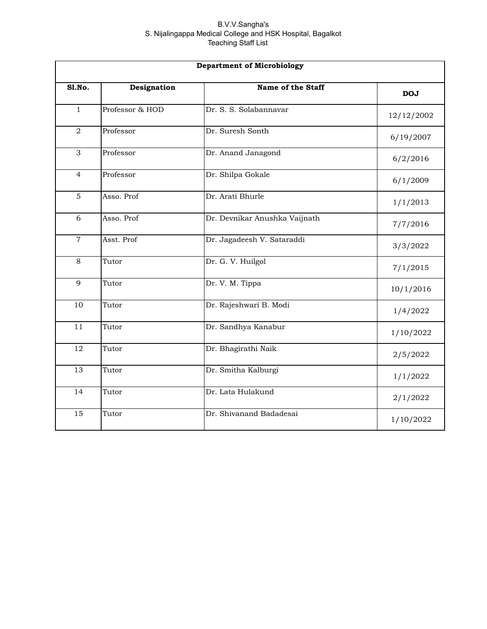|                | <b>Department of Microbiology</b> |                               |            |  |
|----------------|-----------------------------------|-------------------------------|------------|--|
| Sl.No.         | Designation                       | Name of the Staff             | <b>DOJ</b> |  |
| $\mathbf{1}$   | Professor & HOD                   | Dr. S. S. Solabannavar        | 12/12/2002 |  |
| $\overline{2}$ | Professor                         | Dr. Suresh Sonth              | 6/19/2007  |  |
| 3              | Professor                         | Dr. Anand Janagond            | 6/2/2016   |  |
| $\overline{4}$ | Professor                         | Dr. Shilpa Gokale             | 6/1/2009   |  |
| 5              | Asso. Prof                        | Dr. Arati Bhurle              | 1/1/2013   |  |
| 6              | Asso. Prof                        | Dr. Devnikar Anushka Vaijnath | 7/7/2016   |  |
| $\overline{7}$ | Asst. Prof                        | Dr. Jagadeesh V. Sataraddi    | 3/3/2022   |  |
| 8              | Tutor                             | Dr. G. V. Huilgol             | 7/1/2015   |  |
| 9              | Tutor                             | Dr. V. M. Tippa               | 10/1/2016  |  |
| 10             | Tutor                             | Dr. Rajeshwari B. Modi        | 1/4/2022   |  |
| 11             | Tutor                             | Dr. Sandhya Kanabur           | 1/10/2022  |  |
| 12             | Tutor                             | Dr. Bhagirathi Naik           | 2/5/2022   |  |
| 13             | Tutor                             | Dr. Smitha Kalburgi           | 1/1/2022   |  |
| 14             | Tutor                             | Dr. Lata Hulakund             | 2/1/2022   |  |
| 15             | Tutor                             | Dr. Shivanand Badadesai       | 1/10/2022  |  |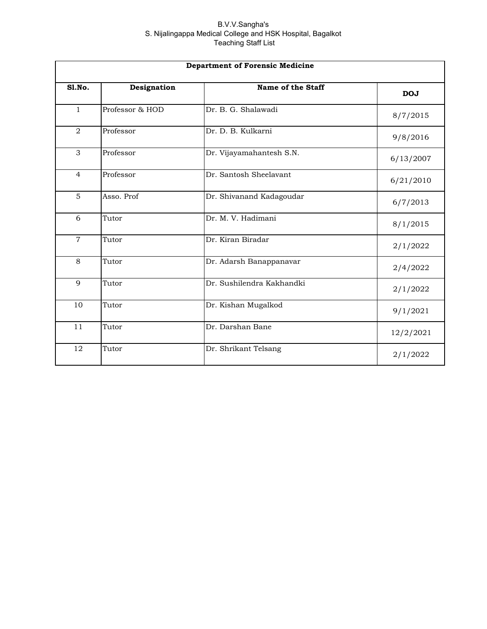| <b>Department of Forensic Medicine</b> |                 |                           |            |
|----------------------------------------|-----------------|---------------------------|------------|
| <b>S1.No.</b>                          | Designation     | Name of the Staff         | <b>DOJ</b> |
| $\mathbf{1}$                           | Professor & HOD | Dr. B. G. Shalawadi       | 8/7/2015   |
| $\overline{2}$                         | Professor       | Dr. D. B. Kulkarni        | 9/8/2016   |
| 3                                      | Professor       | Dr. Vijayamahantesh S.N.  | 6/13/2007  |
| $\overline{4}$                         | Professor       | Dr. Santosh Sheelavant    | 6/21/2010  |
| 5                                      | Asso. Prof      | Dr. Shivanand Kadagoudar  | 6/7/2013   |
| 6                                      | Tutor           | Dr. M. V. Hadimani        | 8/1/2015   |
| $\overline{7}$                         | Tutor           | Dr. Kiran Biradar         | 2/1/2022   |
| 8                                      | Tutor           | Dr. Adarsh Banappanavar   | 2/4/2022   |
| 9                                      | Tutor           | Dr. Sushilendra Kakhandki | 2/1/2022   |
| 10                                     | Tutor           | Dr. Kishan Mugalkod       | 9/1/2021   |
| 11                                     | Tutor           | Dr. Darshan Bane          | 12/2/2021  |
| 12                                     | Tutor           | Dr. Shrikant Telsang      | 2/1/2022   |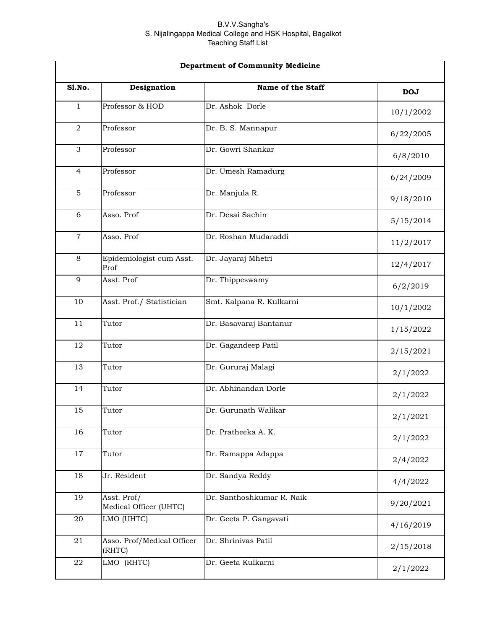|                | <b>Department of Community Medicine</b> |                           |            |  |
|----------------|-----------------------------------------|---------------------------|------------|--|
| Sl.No.         | Designation                             | Name of the Staff         | <b>DOJ</b> |  |
| $\mathbf{1}$   | Professor & HOD                         | Dr. Ashok Dorle           | 10/1/2002  |  |
| $\overline{a}$ | Professor                               | Dr. B. S. Mannapur        | 6/22/2005  |  |
| 3              | Professor                               | Dr. Gowri Shankar         | 6/8/2010   |  |
| $\overline{4}$ | Professor                               | Dr. Umesh Ramadurg        | 6/24/2009  |  |
| 5              | Professor                               | Dr. Manjula R.            | 9/18/2010  |  |
| 6              | Asso. Prof                              | Dr. Desai Sachin          | 5/15/2014  |  |
| $\overline{7}$ | Asso. Prof                              | Dr. Roshan Mudaraddi      | 11/2/2017  |  |
| 8              | Epidemiologist cum Asst.<br>Prof        | Dr. Jayaraj Mhetri        | 12/4/2017  |  |
| 9              | Asst. Prof                              | Dr. Thippeswamy           | 6/2/2019   |  |
| 10             | Asst. Prof./ Statistician               | Smt. Kalpana R. Kulkarni  | 10/1/2002  |  |
| 11             | Tutor                                   | Dr. Basavaraj Bantanur    | 1/15/2022  |  |
| 12             | Tutor                                   | Dr. Gagandeep Patil       | 2/15/2021  |  |
| 13             | Tutor                                   | Dr. Gururaj Malagi        | 2/1/2022   |  |
| 14             | Tutor                                   | Dr. Abhinandan Dorle      | 2/1/2022   |  |
| 15             | Tutor                                   | Dr. Gurunath Walikar      | 2/1/2021   |  |
| 16             | Tutor                                   | Dr. Pratheeka A. K.       | 2/1/2022   |  |
| 17             | Tutor                                   | Dr. Ramappa Adappa        | 2/4/2022   |  |
| 18             | Jr. Resident                            | Dr. Sandya Reddy          | 4/4/2022   |  |
| 19             | Asst. Prof/<br>Medical Officer (UHTC)   | Dr. Santhoshkumar R. Naik | 9/20/2021  |  |
| 20             | LMO (UHTC)                              | Dr. Geeta P. Gangavati    | 4/16/2019  |  |
| 21             | Asso. Prof/Medical Officer<br>(RHTC)    | Dr. Shrinivas Patil       | 2/15/2018  |  |
| ${\bf 22}$     | LMO (RHTC)                              | Dr. Geeta Kulkarni        | 2/1/2022   |  |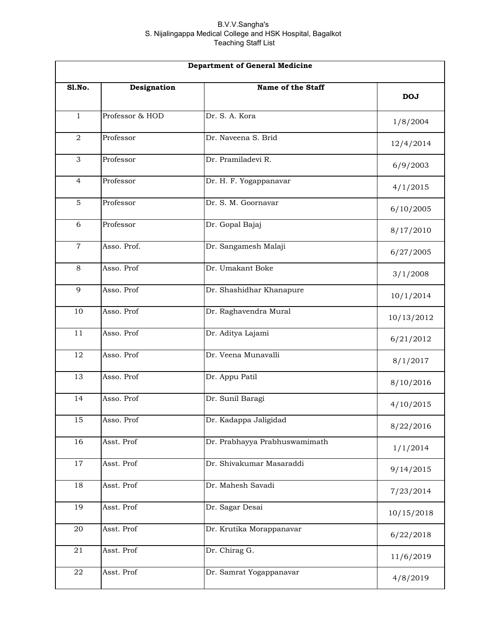|                  | <b>Department of General Medicine</b> |                               |            |  |
|------------------|---------------------------------------|-------------------------------|------------|--|
| Sl.No.           | Designation                           | Name of the Staff             | <b>DOJ</b> |  |
| $\mathbf{1}$     | Professor & HOD                       | Dr. S. A. Kora                | 1/8/2004   |  |
| $\boldsymbol{2}$ | Professor                             | Dr. Naveena S. Brid           | 12/4/2014  |  |
| 3                | Professor                             | Dr. Pramiladevi R.            | 6/9/2003   |  |
| 4                | Professor                             | Dr. H. F. Yogappanavar        | 4/1/2015   |  |
| $\overline{5}$   | Professor                             | Dr. S. M. Goornavar           | 6/10/2005  |  |
| 6                | Professor                             | Dr. Gopal Bajaj               | 8/17/2010  |  |
| $\mathbf 7$      | Asso. Prof.                           | Dr. Sangamesh Malaji          | 6/27/2005  |  |
| 8                | Asso. Prof                            | Dr. Umakant Boke              | 3/1/2008   |  |
| 9                | Asso. Prof                            | Dr. Shashidhar Khanapure      | 10/1/2014  |  |
| 10               | Asso. Prof                            | Dr. Raghavendra Mural         | 10/13/2012 |  |
| 11               | Asso. Prof                            | Dr. Aditya Lajami             | 6/21/2012  |  |
| 12               | Asso. Prof                            | Dr. Veena Munavalli           | 8/1/2017   |  |
| 13               | Asso. Prof                            | Dr. Appu Patil                | 8/10/2016  |  |
| 14               | Asso. Prof                            | Dr. Sunil Baragi              | 4/10/2015  |  |
| 15               | Asso. Prof                            | Dr. Kadappa Jaligidad         | 8/22/2016  |  |
| 16               | Asst. Prof                            | Dr. Prabhayya Prabhuswamimath | 1/1/2014   |  |
| 17               | Asst. Prof                            | Dr. Shivakumar Masaraddi      | 9/14/2015  |  |
| 18               | Asst. Prof                            | Dr. Mahesh Savadi             | 7/23/2014  |  |
| 19               | Asst. Prof                            | Dr. Sagar Desai               | 10/15/2018 |  |
| 20               | Asst. Prof                            | Dr. Krutika Morappanavar      | 6/22/2018  |  |
| 21               | Asst. Prof                            | Dr. Chirag G.                 | 11/6/2019  |  |
| ${\bf 22}$       | Asst. Prof                            | Dr. Samrat Yogappanavar       | 4/8/2019   |  |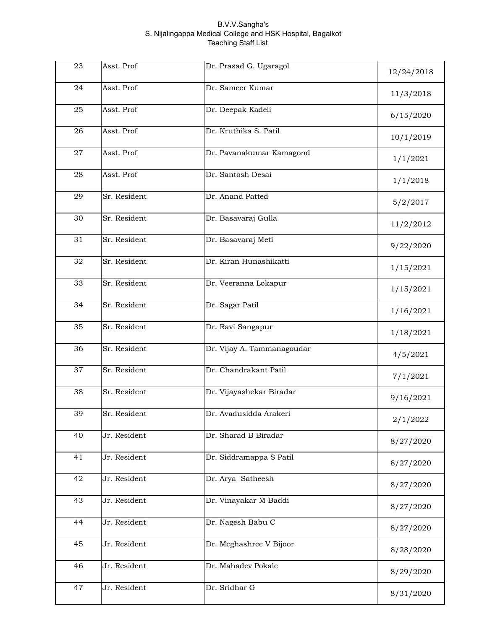| 23 | Asst. Prof   | Dr. Prasad G. Ugaragol     | 12/24/2018 |
|----|--------------|----------------------------|------------|
| 24 | Asst. Prof   | Dr. Sameer Kumar           | 11/3/2018  |
| 25 | Asst. Prof   | Dr. Deepak Kadeli          | 6/15/2020  |
| 26 | Asst. Prof   | Dr. Kruthika S. Patil      | 10/1/2019  |
| 27 | Asst. Prof   | Dr. Pavanakumar Kamagond   | 1/1/2021   |
| 28 | Asst. Prof   | Dr. Santosh Desai          | 1/1/2018   |
| 29 | Sr. Resident | Dr. Anand Patted           | 5/2/2017   |
| 30 | Sr. Resident | Dr. Basavaraj Gulla        | 11/2/2012  |
| 31 | Sr. Resident | Dr. Basavaraj Meti         | 9/22/2020  |
| 32 | Sr. Resident | Dr. Kiran Hunashikatti     | 1/15/2021  |
| 33 | Sr. Resident | Dr. Veeranna Lokapur       | 1/15/2021  |
| 34 | Sr. Resident | Dr. Sagar Patil            | 1/16/2021  |
| 35 | Sr. Resident | Dr. Ravi Sangapur          | 1/18/2021  |
| 36 | Sr. Resident | Dr. Vijay A. Tammanagoudar | 4/5/2021   |
| 37 | Sr. Resident | Dr. Chandrakant Patil      | 7/1/2021   |
| 38 | Sr. Resident | Dr. Vijayashekar Biradar   | 9/16/2021  |
| 39 | Sr. Resident | Dr. Avadusidda Arakeri     | 2/1/2022   |
| 40 | Jr. Resident | Dr. Sharad B Biradar       | 8/27/2020  |
| 41 | Jr. Resident | Dr. Siddramappa S Patil    | 8/27/2020  |
| 42 | Jr. Resident | Dr. Arya Satheesh          | 8/27/2020  |
| 43 | Jr. Resident | Dr. Vinayakar M Baddi      | 8/27/2020  |
| 44 | Jr. Resident | Dr. Nagesh Babu C          | 8/27/2020  |
| 45 | Jr. Resident | Dr. Meghashree V Bijoor    | 8/28/2020  |
| 46 | Jr. Resident | Dr. Mahadev Pokale         | 8/29/2020  |
| 47 | Jr. Resident | Dr. Sridhar G              | 8/31/2020  |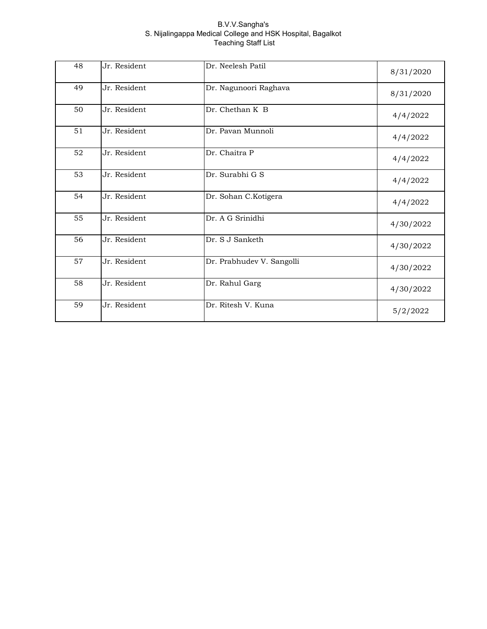| 48 | Jr. Resident | Dr. Neelesh Patil         | 8/31/2020 |
|----|--------------|---------------------------|-----------|
| 49 | Jr. Resident | Dr. Nagunoori Raghava     | 8/31/2020 |
| 50 | Jr. Resident | Dr. Chethan K B           | 4/4/2022  |
| 51 | Jr. Resident | Dr. Pavan Munnoli         | 4/4/2022  |
| 52 | Jr. Resident | Dr. Chaitra P             | 4/4/2022  |
| 53 | Jr. Resident | Dr. Surabhi G S           | 4/4/2022  |
| 54 | Jr. Resident | Dr. Sohan C.Kotigera      | 4/4/2022  |
| 55 | Jr. Resident | Dr. A G Srinidhi          | 4/30/2022 |
| 56 | Jr. Resident | Dr. S J Sanketh           | 4/30/2022 |
| 57 | Jr. Resident | Dr. Prabhudev V. Sangolli | 4/30/2022 |
| 58 | Jr. Resident | Dr. Rahul Garg            | 4/30/2022 |
| 59 | Jr. Resident | Dr. Ritesh V. Kuna        | 5/2/2022  |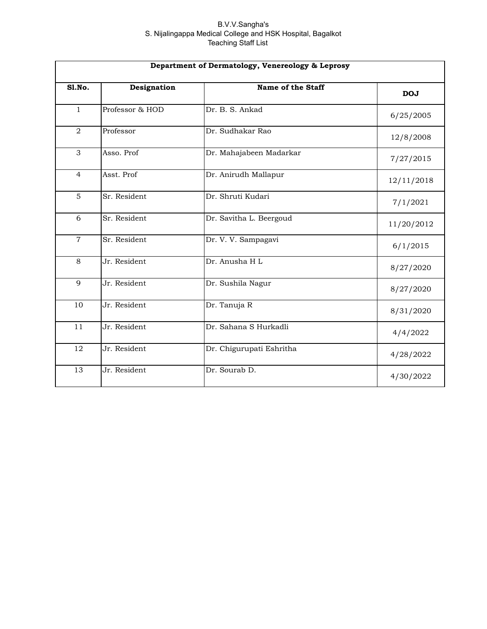| Department of Dermatology, Venereology & Leprosy |                 |                          |            |
|--------------------------------------------------|-----------------|--------------------------|------------|
| Sl.No.                                           | Designation     | Name of the Staff        | <b>DOJ</b> |
| $\mathbf{1}$                                     | Professor & HOD | Dr. B. S. Ankad          | 6/25/2005  |
| $\overline{2}$                                   | Professor       | Dr. Sudhakar Rao         | 12/8/2008  |
| 3                                                | Asso. Prof      | Dr. Mahajabeen Madarkar  | 7/27/2015  |
| $\overline{4}$                                   | Asst. Prof      | Dr. Anirudh Mallapur     | 12/11/2018 |
| 5                                                | Sr. Resident    | Dr. Shruti Kudari        | 7/1/2021   |
| 6                                                | Sr. Resident    | Dr. Savitha L. Beergoud  | 11/20/2012 |
| $\overline{7}$                                   | Sr. Resident    | Dr. V. V. Sampagavi      | 6/1/2015   |
| 8                                                | Jr. Resident    | Dr. Anusha H L           | 8/27/2020  |
| 9                                                | Jr. Resident    | Dr. Sushila Nagur        | 8/27/2020  |
| 10                                               | Jr. Resident    | Dr. Tanuja R             | 8/31/2020  |
| 11                                               | Jr. Resident    | Dr. Sahana S Hurkadli    | 4/4/2022   |
| 12                                               | Jr. Resident    | Dr. Chigurupati Eshritha | 4/28/2022  |
| 13                                               | Jr. Resident    | Dr. Sourab D.            | 4/30/2022  |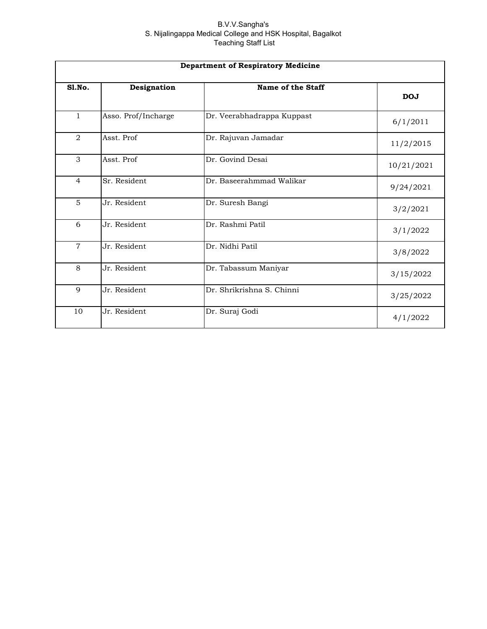| <b>Department of Respiratory Medicine</b> |                     |                            |            |
|-------------------------------------------|---------------------|----------------------------|------------|
| Sl.No.                                    | Designation         | Name of the Staff          | <b>DOJ</b> |
| $\mathbf{1}$                              | Asso. Prof/Incharge | Dr. Veerabhadrappa Kuppast | 6/1/2011   |
| 2                                         | Asst. Prof          | Dr. Rajuvan Jamadar        | 11/2/2015  |
| 3                                         | Asst. Prof          | Dr. Govind Desai           | 10/21/2021 |
| $\overline{4}$                            | Sr. Resident        | Dr. Baseerahmmad Walikar   | 9/24/2021  |
| 5                                         | Jr. Resident        | Dr. Suresh Bangi           | 3/2/2021   |
| 6                                         | Jr. Resident        | Dr. Rashmi Patil           | 3/1/2022   |
| $\overline{7}$                            | Jr. Resident        | Dr. Nidhi Patil            | 3/8/2022   |
| 8                                         | Jr. Resident        | Dr. Tabassum Maniyar       | 3/15/2022  |
| 9                                         | Jr. Resident        | Dr. Shrikrishna S. Chinni  | 3/25/2022  |
| 10                                        | Jr. Resident        | Dr. Suraj Godi             | 4/1/2022   |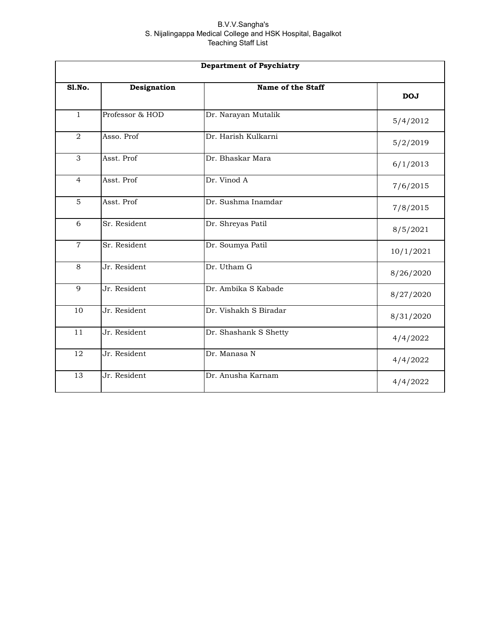| <b>Department of Psychiatry</b> |                 |                       |            |
|---------------------------------|-----------------|-----------------------|------------|
| SI.No.                          | Designation     | Name of the Staff     | <b>DOJ</b> |
| $\mathbf{1}$                    | Professor & HOD | Dr. Narayan Mutalik   | 5/4/2012   |
| 2                               | Asso. Prof      | Dr. Harish Kulkarni   | 5/2/2019   |
| 3                               | Asst. Prof      | Dr. Bhaskar Mara      | 6/1/2013   |
| $\overline{4}$                  | Asst. Prof      | Dr. Vinod A           | 7/6/2015   |
| 5                               | Asst. Prof      | Dr. Sushma Inamdar    | 7/8/2015   |
| 6                               | Sr. Resident    | Dr. Shreyas Patil     | 8/5/2021   |
| $\overline{7}$                  | Sr. Resident    | Dr. Soumya Patil      | 10/1/2021  |
| 8                               | Jr. Resident    | Dr. Utham G           | 8/26/2020  |
| 9                               | Jr. Resident    | Dr. Ambika S Kabade   | 8/27/2020  |
| 10                              | Jr. Resident    | Dr. Vishakh S Biradar | 8/31/2020  |
| 11                              | Jr. Resident    | Dr. Shashank S Shetty | 4/4/2022   |
| 12                              | Jr. Resident    | Dr. Manasa N          | 4/4/2022   |
| 13                              | Jr. Resident    | Dr. Anusha Karnam     | 4/4/2022   |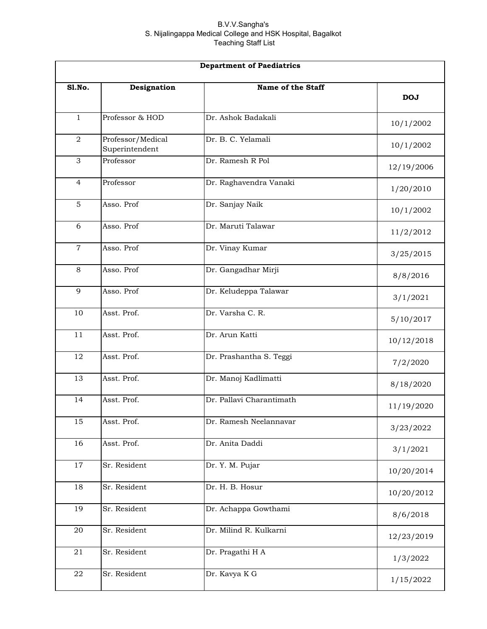| <b>Department of Paediatrics</b> |                                     |                          |            |
|----------------------------------|-------------------------------------|--------------------------|------------|
| Sl.No.                           | Designation                         | Name of the Staff        | <b>DOJ</b> |
| $\mathbf{1}$                     | Professor & HOD                     | Dr. Ashok Badakali       | 10/1/2002  |
| $\overline{a}$                   | Professor/Medical<br>Superintendent | Dr. B. C. Yelamali       | 10/1/2002  |
| 3                                | Professor                           | Dr. Ramesh R Pol         | 12/19/2006 |
| $\overline{4}$                   | Professor                           | Dr. Raghavendra Vanaki   | 1/20/2010  |
| 5                                | Asso. Prof                          | Dr. Sanjay Naik          | 10/1/2002  |
| 6                                | Asso. Prof                          | Dr. Maruti Talawar       | 11/2/2012  |
| $\overline{7}$                   | Asso. Prof                          | Dr. Vinay Kumar          | 3/25/2015  |
| 8                                | Asso. Prof                          | Dr. Gangadhar Mirji      | 8/8/2016   |
| 9                                | Asso. Prof                          | Dr. Keludeppa Talawar    | 3/1/2021   |
| 10                               | Asst. Prof.                         | Dr. Varsha C. R.         | 5/10/2017  |
| 11                               | Asst. Prof.                         | Dr. Arun Katti           | 10/12/2018 |
| 12                               | Asst. Prof.                         | Dr. Prashantha S. Teggi  | 7/2/2020   |
| 13                               | Asst. Prof.                         | Dr. Manoj Kadlimatti     | 8/18/2020  |
| 14                               | Asst. Prof.                         | Dr. Pallavi Charantimath | 11/19/2020 |
| 15                               | Asst. Prof.                         | Dr. Ramesh Neelannavar   | 3/23/2022  |
| 16                               | Asst. Prof.                         | Dr. Anita Daddi          | 3/1/2021   |
| 17                               | Sr. Resident                        | Dr. Y. M. Pujar          | 10/20/2014 |
| 18                               | Sr. Resident                        | Dr. H. B. Hosur          | 10/20/2012 |
| 19                               | Sr. Resident                        | Dr. Achappa Gowthami     | 8/6/2018   |
| 20                               | Sr. Resident                        | Dr. Milind R. Kulkarni   | 12/23/2019 |
| 21                               | Sr. Resident                        | Dr. Pragathi H A         | 1/3/2022   |
| 22                               | Sr. Resident                        | Dr. Kavya K G            | 1/15/2022  |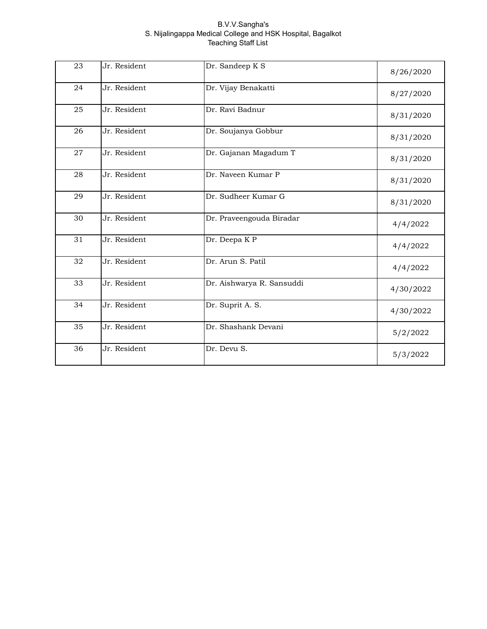| 23 | Jr. Resident | Dr. Sandeep K S           |           |
|----|--------------|---------------------------|-----------|
|    |              |                           | 8/26/2020 |
| 24 | Jr. Resident | Dr. Vijay Benakatti       | 8/27/2020 |
| 25 | Jr. Resident | Dr. Ravi Badnur           | 8/31/2020 |
| 26 | Jr. Resident | Dr. Soujanya Gobbur       | 8/31/2020 |
| 27 | Jr. Resident | Dr. Gajanan Magadum T     | 8/31/2020 |
| 28 | Jr. Resident | Dr. Naveen Kumar P        | 8/31/2020 |
| 29 | Jr. Resident | Dr. Sudheer Kumar G       | 8/31/2020 |
| 30 | Jr. Resident | Dr. Praveengouda Biradar  | 4/4/2022  |
| 31 | Jr. Resident | Dr. Deepa KP              | 4/4/2022  |
| 32 | Jr. Resident | Dr. Arun S. Patil         | 4/4/2022  |
| 33 | Jr. Resident | Dr. Aishwarya R. Sansuddi | 4/30/2022 |
| 34 | Jr. Resident | Dr. Suprit A. S.          | 4/30/2022 |
| 35 | Jr. Resident | Dr. Shashank Devani       | 5/2/2022  |
| 36 | Jr. Resident | Dr. Devu S.               | 5/3/2022  |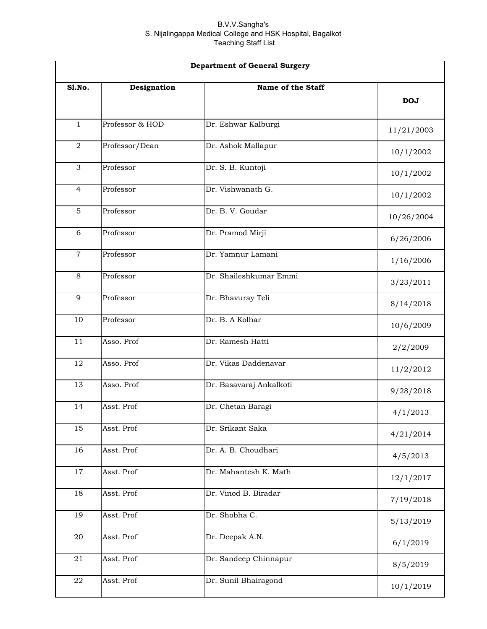| <b>Department of General Surgery</b> |                 |                         |            |
|--------------------------------------|-----------------|-------------------------|------------|
| <b>S1.No.</b>                        | Designation     | Name of the Staff       | <b>DOJ</b> |
| $\mathbf{1}$                         | Professor & HOD | Dr. Eshwar Kalburgi     | 11/21/2003 |
| $\overline{a}$                       | Professor/Dean  | Dr. Ashok Mallapur      | 10/1/2002  |
| $\mathfrak{Z}$                       | Professor       | Dr. S. B. Kuntoji       | 10/1/2002  |
| $\overline{4}$                       | Professor       | Dr. Vishwanath G.       | 10/1/2002  |
| 5                                    | Professor       | Dr. B. V. Goudar        | 10/26/2004 |
| 6                                    | Professor       | Dr. Pramod Mirji        | 6/26/2006  |
| $\overline{7}$                       | Professor       | Dr. Yamnur Lamani       | 1/16/2006  |
| 8                                    | Professor       | Dr. Shaileshkumar Emmi  | 3/23/2011  |
| 9                                    | Professor       | Dr. Bhavuray Teli       | 8/14/2018  |
| 10                                   | Professor       | Dr. B. A Kolhar         | 10/6/2009  |
| 11                                   | Asso. Prof      | Dr. Ramesh Hatti        | 2/2/2009   |
| 12                                   | Asso. Prof      | Dr. Vikas Daddenavar    | 11/2/2012  |
| 13                                   | Asso. Prof      | Dr. Basavaraj Ankalkoti | 9/28/2018  |
| 14                                   | Asst. Prof      | Dr. Chetan Baragi       | 4/1/2013   |
| 15                                   | Asst. Prof      | Dr. Srikant Saka        | 4/21/2014  |
| 16                                   | Asst. Prof      | Dr. A. B. Choudhari     | 4/5/2013   |
| 17                                   | Asst. Prof      | Dr. Mahantesh K. Math   | 12/1/2017  |
| 18                                   | Asst. Prof      | Dr. Vinod B. Biradar    | 7/19/2018  |
| 19                                   | Asst. Prof      | Dr. Shobha C.           | 5/13/2019  |
| 20                                   | Asst. Prof      | Dr. Deepak A.N.         | 6/1/2019   |
| 21                                   | Asst. Prof      | Dr. Sandeep Chinnapur   | 8/5/2019   |
| 22                                   | Asst. Prof      | Dr. Sunil Bhairagond    | 10/1/2019  |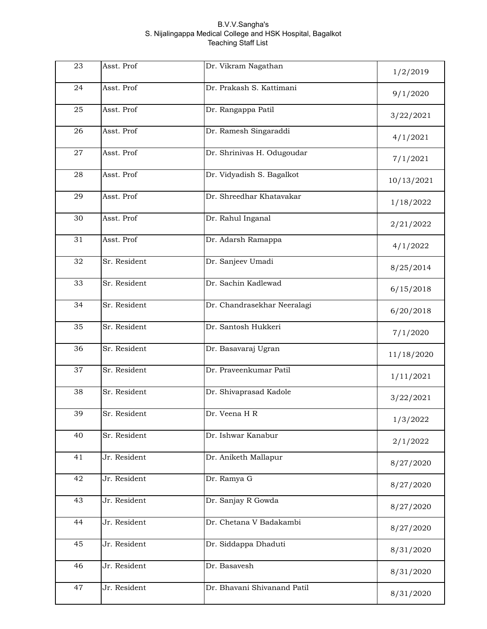| 23 | Asst. Prof   | Dr. Vikram Nagathan         | 1/2/2019   |
|----|--------------|-----------------------------|------------|
| 24 | Asst. Prof   | Dr. Prakash S. Kattimani    | 9/1/2020   |
| 25 | Asst. Prof   | Dr. Rangappa Patil          | 3/22/2021  |
| 26 | Asst. Prof   | Dr. Ramesh Singaraddi       | 4/1/2021   |
| 27 | Asst. Prof   | Dr. Shrinivas H. Odugoudar  | 7/1/2021   |
| 28 | Asst. Prof   | Dr. Vidyadish S. Bagalkot   | 10/13/2021 |
| 29 | Asst. Prof   | Dr. Shreedhar Khatavakar    | 1/18/2022  |
| 30 | Asst. Prof   | Dr. Rahul Inganal           | 2/21/2022  |
| 31 | Asst. Prof   | Dr. Adarsh Ramappa          | 4/1/2022   |
| 32 | Sr. Resident | Dr. Sanjeev Umadi           | 8/25/2014  |
| 33 | Sr. Resident | Dr. Sachin Kadlewad         | 6/15/2018  |
| 34 | Sr. Resident | Dr. Chandrasekhar Neeralagi | 6/20/2018  |
| 35 | Sr. Resident | Dr. Santosh Hukkeri         | 7/1/2020   |
| 36 | Sr. Resident | Dr. Basavaraj Ugran         | 11/18/2020 |
| 37 | Sr. Resident | Dr. Praveenkumar Patil      | 1/11/2021  |
| 38 | Sr. Resident | Dr. Shivaprasad Kadole      | 3/22/2021  |
| 39 | Sr. Resident | Dr. Veena H R               | 1/3/2022   |
| 40 | Sr. Resident | Dr. Ishwar Kanabur          | 2/1/2022   |
| 41 | Jr. Resident | Dr. Aniketh Mallapur        | 8/27/2020  |
| 42 | Jr. Resident | Dr. Ramya G                 | 8/27/2020  |
| 43 | Jr. Resident | Dr. Sanjay R Gowda          | 8/27/2020  |
| 44 | Jr. Resident | Dr. Chetana V Badakambi     | 8/27/2020  |
| 45 | Jr. Resident | Dr. Siddappa Dhaduti        | 8/31/2020  |
| 46 | Jr. Resident | Dr. Basavesh                | 8/31/2020  |
| 47 | Jr. Resident | Dr. Bhavani Shivanand Patil | 8/31/2020  |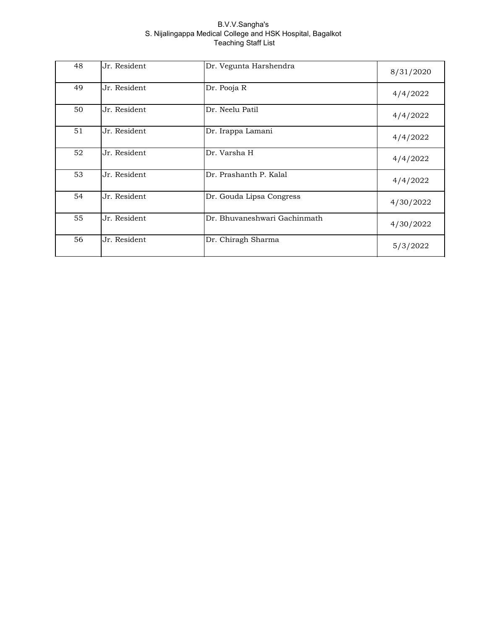| 48 | Jr. Resident | Dr. Vegunta Harshendra       | 8/31/2020 |
|----|--------------|------------------------------|-----------|
| 49 | Jr. Resident | Dr. Pooja R                  | 4/4/2022  |
| 50 | Jr. Resident | Dr. Neelu Patil              | 4/4/2022  |
| 51 | Jr. Resident | Dr. Irappa Lamani            | 4/4/2022  |
| 52 | Jr. Resident | Dr. Varsha H                 | 4/4/2022  |
| 53 | Jr. Resident | Dr. Prashanth P. Kalal       | 4/4/2022  |
| 54 | Jr. Resident | Dr. Gouda Lipsa Congress     | 4/30/2022 |
| 55 | Jr. Resident | Dr. Bhuvaneshwari Gachinmath | 4/30/2022 |
| 56 | Jr. Resident | Dr. Chiragh Sharma           | 5/3/2022  |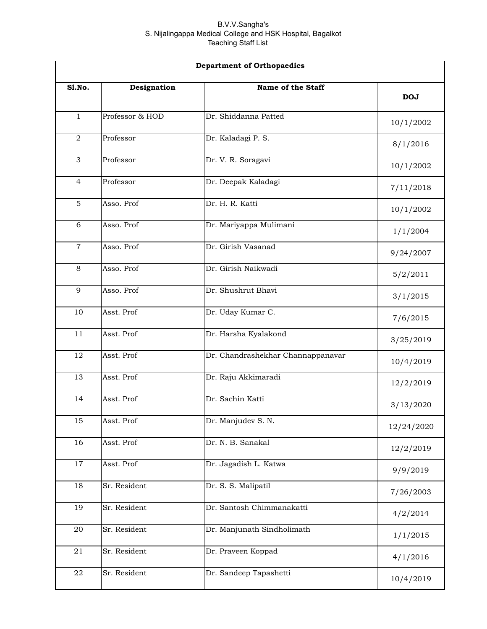| <b>Department of Orthopaedics</b> |                 |                                   |            |
|-----------------------------------|-----------------|-----------------------------------|------------|
| SI.No.                            | Designation     | Name of the Staff                 | <b>DOJ</b> |
| $\mathbf{1}$                      | Professor & HOD | Dr. Shiddanna Patted              | 10/1/2002  |
| $\overline{2}$                    | Professor       | Dr. Kaladagi P. S.                | 8/1/2016   |
| 3                                 | Professor       | Dr. V. R. Soragavi                | 10/1/2002  |
| 4                                 | Professor       | Dr. Deepak Kaladagi               | 7/11/2018  |
| $\overline{5}$                    | Asso. Prof      | Dr. H. R. Katti                   | 10/1/2002  |
| 6                                 | Asso. Prof      | Dr. Mariyappa Mulimani            | 1/1/2004   |
| $\overline{7}$                    | Asso. Prof      | Dr. Girish Vasanad                | 9/24/2007  |
| 8                                 | Asso. Prof      | Dr. Girish Naikwadi               | 5/2/2011   |
| 9                                 | Asso. Prof      | Dr. Shushrut Bhavi                | 3/1/2015   |
| 10                                | Asst. Prof      | Dr. Uday Kumar C.                 | 7/6/2015   |
| 11                                | Asst. Prof      | Dr. Harsha Kyalakond              | 3/25/2019  |
| 12                                | Asst. Prof      | Dr. Chandrashekhar Channappanavar | 10/4/2019  |
| 13                                | Asst. Prof      | Dr. Raju Akkimaradi               | 12/2/2019  |
| 14                                | Asst. Prof      | Dr. Sachin Katti                  | 3/13/2020  |
| 15                                | Asst. Prof      | Dr. Manjudev S. N.                | 12/24/2020 |
| 16                                | Asst. Prof      | Dr. N. B. Sanakal                 | 12/2/2019  |
| $17\,$                            | Asst. Prof      | Dr. Jagadish L. Katwa             | 9/9/2019   |
| 18                                | Sr. Resident    | Dr. S. S. Malipatil               | 7/26/2003  |
| 19                                | Sr. Resident    | Dr. Santosh Chimmanakatti         | 4/2/2014   |
| 20                                | Sr. Resident    | Dr. Manjunath Sindholimath        | 1/1/2015   |
| 21                                | Sr. Resident    | Dr. Praveen Koppad                | 4/1/2016   |
| ${\bf 22}$                        | Sr. Resident    | Dr. Sandeep Tapashetti            | 10/4/2019  |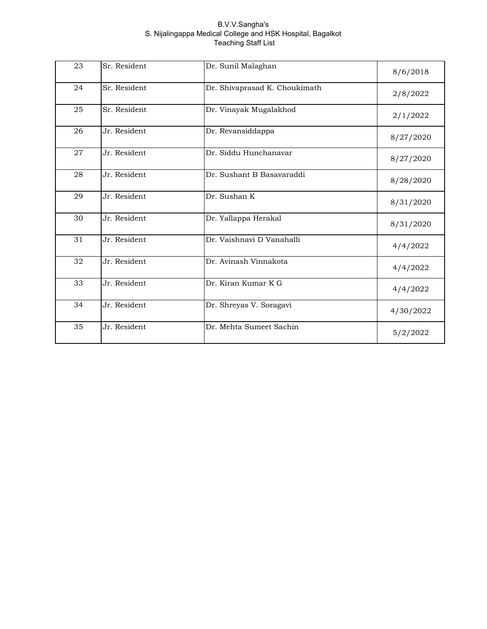| 23 | Sr. Resident | Dr. Sunil Malaghan            | 8/6/2018  |
|----|--------------|-------------------------------|-----------|
| 24 | Sr. Resident | Dr. Shivaprasad K. Choukimath | 2/8/2022  |
| 25 | Sr. Resident | Dr. Vinayak Mugalakhod        | 2/1/2022  |
| 26 | Jr. Resident | Dr. Revansiddappa             | 8/27/2020 |
| 27 | Jr. Resident | Dr. Siddu Hunchanavar         | 8/27/2020 |
| 28 | Jr. Resident | Dr. Sushant B Basavaraddi     | 8/28/2020 |
| 29 | Jr. Resident | Dr. Sushan K                  | 8/31/2020 |
| 30 | Jr. Resident | Dr. Yallappa Herakal          | 8/31/2020 |
| 31 | Jr. Resident | Dr. Vaishnavi D Vanahalli     | 4/4/2022  |
| 32 | Jr. Resident | Dr. Avinash Vinnakota         | 4/4/2022  |
| 33 | Jr. Resident | Dr. Kiran Kumar K G           | 4/4/2022  |
| 34 | Jr. Resident | Dr. Shreyas V. Soragavi       | 4/30/2022 |
| 35 | Jr. Resident | Dr. Mehta Sumeet Sachin       | 5/2/2022  |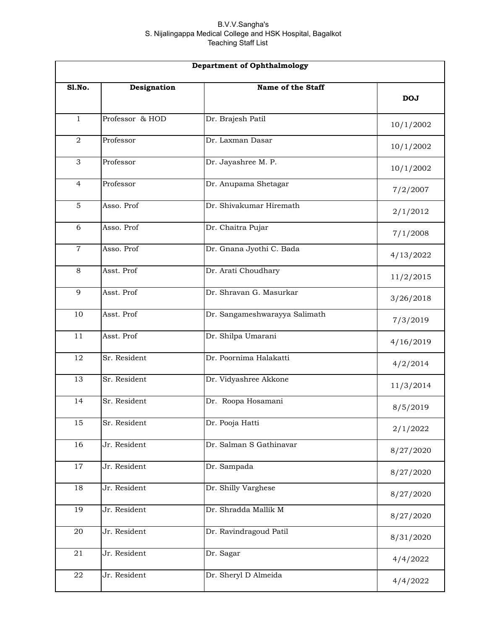|                 | <b>Department of Ophthalmology</b> |                               |            |  |
|-----------------|------------------------------------|-------------------------------|------------|--|
| Sl.No.          | Designation                        | Name of the Staff             | <b>DOJ</b> |  |
| $\mathbf{1}$    | Professor & HOD                    | Dr. Brajesh Patil             | 10/1/2002  |  |
| $\overline{2}$  | Professor                          | Dr. Laxman Dasar              | 10/1/2002  |  |
| 3               | Professor                          | Dr. Jayashree M. P.           | 10/1/2002  |  |
| 4               | Professor                          | Dr. Anupama Shetagar          | 7/2/2007   |  |
| 5               | Asso. Prof                         | Dr. Shivakumar Hiremath       | 2/1/2012   |  |
| 6               | Asso. Prof                         | Dr. Chaitra Pujar             | 7/1/2008   |  |
| $\overline{7}$  | Asso. Prof                         | Dr. Gnana Jyothi C. Bada      | 4/13/2022  |  |
| 8               | Asst. Prof                         | Dr. Arati Choudhary           | 11/2/2015  |  |
| 9               | Asst. Prof                         | Dr. Shravan G. Masurkar       | 3/26/2018  |  |
| 10              | Asst. Prof                         | Dr. Sangameshwarayya Salimath | 7/3/2019   |  |
| 11              | Asst. Prof                         | Dr. Shilpa Umarani            | 4/16/2019  |  |
| 12              | Sr. Resident                       | Dr. Poornima Halakatti        | 4/2/2014   |  |
| 13              | Sr. Resident                       | Dr. Vidyashree Akkone         | 11/3/2014  |  |
| 14              | Sr. Resident                       | Dr. Roopa Hosamani            | 8/5/2019   |  |
| $\overline{15}$ | Sr. Resident                       | Dr. Pooja Hatti               | 2/1/2022   |  |
| 16              | Jr. Resident                       | Dr. Salman S Gathinavar       | 8/27/2020  |  |
| 17              | Jr. Resident                       | Dr. Sampada                   | 8/27/2020  |  |
| 18              | Jr. Resident                       | Dr. Shilly Varghese           | 8/27/2020  |  |
| 19              | Jr. Resident                       | Dr. Shradda Mallik M          | 8/27/2020  |  |
| 20              | Jr. Resident                       | Dr. Ravindragoud Patil        | 8/31/2020  |  |
| $2\sqrt{1}$     | Jr. Resident                       | Dr. Sagar                     | 4/4/2022   |  |
| ${\bf 22}$      | Jr. Resident                       | Dr. Sheryl D Almeida          | 4/4/2022   |  |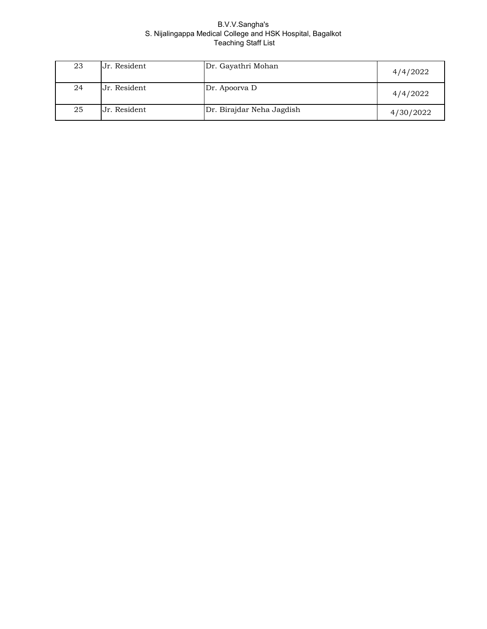| 23 | Jr. Resident | Dr. Gayathri Mohan        | 4/4/2022  |
|----|--------------|---------------------------|-----------|
| 24 | Jr. Resident | Dr. Apoorva D             | 4/4/2022  |
| 25 | Jr. Resident | Dr. Birajdar Neha Jagdish | 4/30/2022 |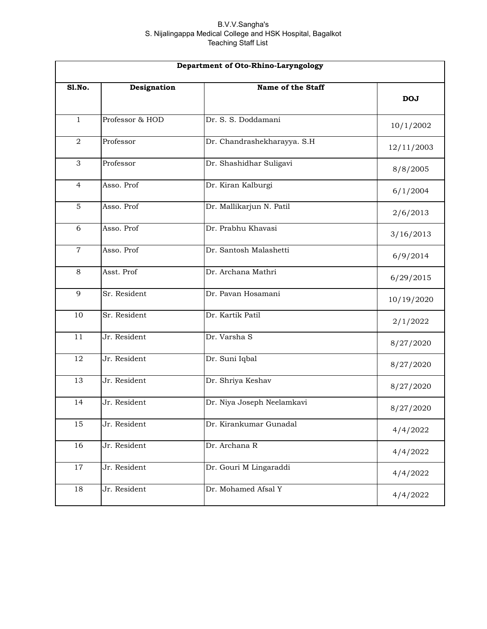| Department of Oto-Rhino-Laryngology |                 |                             |            |
|-------------------------------------|-----------------|-----------------------------|------------|
| Sl.No.                              | Designation     | Name of the Staff           | <b>DOJ</b> |
| $\mathbf{1}$                        | Professor & HOD | Dr. S. S. Doddamani         | 10/1/2002  |
| $\overline{2}$                      | Professor       | Dr. Chandrashekharayya. S.H | 12/11/2003 |
| 3                                   | Professor       | Dr. Shashidhar Suligavi     | 8/8/2005   |
| $\overline{4}$                      | Asso. Prof      | Dr. Kiran Kalburgi          | 6/1/2004   |
| $\overline{5}$                      | Asso. Prof      | Dr. Mallikarjun N. Patil    | 2/6/2013   |
| 6                                   | Asso. Prof      | Dr. Prabhu Khavasi          | 3/16/2013  |
| $\overline{7}$                      | Asso. Prof      | Dr. Santosh Malashetti      | 6/9/2014   |
| 8                                   | Asst. Prof      | Dr. Archana Mathri          | 6/29/2015  |
| 9                                   | Sr. Resident    | Dr. Pavan Hosamani          | 10/19/2020 |
| 10                                  | Sr. Resident    | Dr. Kartik Patil            | 2/1/2022   |
| 11                                  | Jr. Resident    | Dr. Varsha S                | 8/27/2020  |
| 12                                  | Jr. Resident    | Dr. Suni Iqbal              | 8/27/2020  |
| 13                                  | Jr. Resident    | Dr. Shriya Keshav           | 8/27/2020  |
| 14                                  | Jr. Resident    | Dr. Niya Joseph Neelamkavi  | 8/27/2020  |
| 15                                  | Jr. Resident    | Dr. Kirankumar Gunadal      | 4/4/2022   |
| 16                                  | Jr. Resident    | Dr. Archana R               | 4/4/2022   |
| 17                                  | Jr. Resident    | Dr. Gouri M Lingaraddi      | 4/4/2022   |
| 18                                  | Jr. Resident    | Dr. Mohamed Afsal Y         | 4/4/2022   |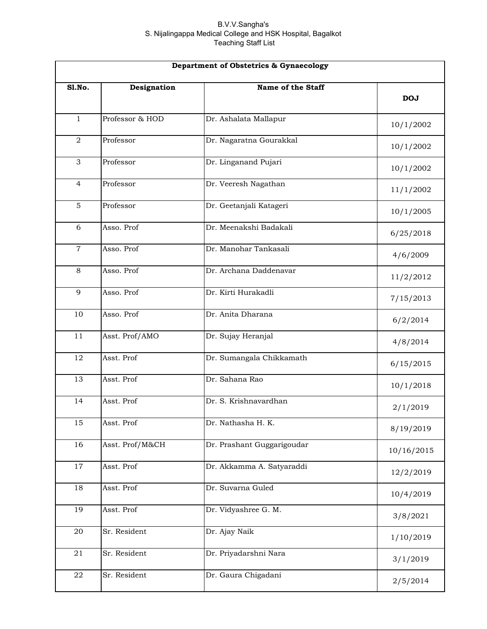| Department of Obstetrics & Gynaecology |                 |                            |            |
|----------------------------------------|-----------------|----------------------------|------------|
| Sl.No.                                 | Designation     | Name of the Staff          | <b>DOJ</b> |
| $\mathbf{1}$                           | Professor & HOD | Dr. Ashalata Mallapur      | 10/1/2002  |
| $\overline{a}$                         | Professor       | Dr. Nagaratna Gourakkal    | 10/1/2002  |
| 3                                      | Professor       | Dr. Linganand Pujari       | 10/1/2002  |
| $\overline{4}$                         | Professor       | Dr. Veeresh Nagathan       | 11/1/2002  |
| 5                                      | Professor       | Dr. Geetanjali Katageri    | 10/1/2005  |
| 6                                      | Asso. Prof      | Dr. Meenakshi Badakali     | 6/25/2018  |
| $\mathbf 7$                            | Asso. Prof      | Dr. Manohar Tankasali      | 4/6/2009   |
| 8                                      | Asso. Prof      | Dr. Archana Daddenavar     | 11/2/2012  |
| 9                                      | Asso. Prof      | Dr. Kirti Hurakadli        | 7/15/2013  |
| 10                                     | Asso. Prof      | Dr. Anita Dharana          | 6/2/2014   |
| 11                                     | Asst. Prof/AMO  | Dr. Sujay Heranjal         | 4/8/2014   |
| 12                                     | Asst. Prof      | Dr. Sumangala Chikkamath   | 6/15/2015  |
| 13                                     | Asst. Prof      | Dr. Sahana Rao             | 10/1/2018  |
| 14                                     | Asst. Prof      | Dr. S. Krishnavardhan      | 2/1/2019   |
| 15                                     | Asst. Prof      | Dr. Nathasha H. K.         | 8/19/2019  |
| 16                                     | Asst. Prof/M&CH | Dr. Prashant Guggarigoudar | 10/16/2015 |
| $17\,$                                 | Asst. Prof      | Dr. Akkamma A. Satyaraddi  | 12/2/2019  |
| 18                                     | Asst. Prof      | Dr. Suvarna Guled          | 10/4/2019  |
| 19                                     | Asst. Prof      | Dr. Vidyashree G. M.       | 3/8/2021   |
| $20\,$                                 | Sr. Resident    | Dr. Ajay Naik              | 1/10/2019  |
| 21                                     | Sr. Resident    | Dr. Priyadarshni Nara      | 3/1/2019   |
| ${\bf 22}$                             | Sr. Resident    | Dr. Gaura Chigadani        | 2/5/2014   |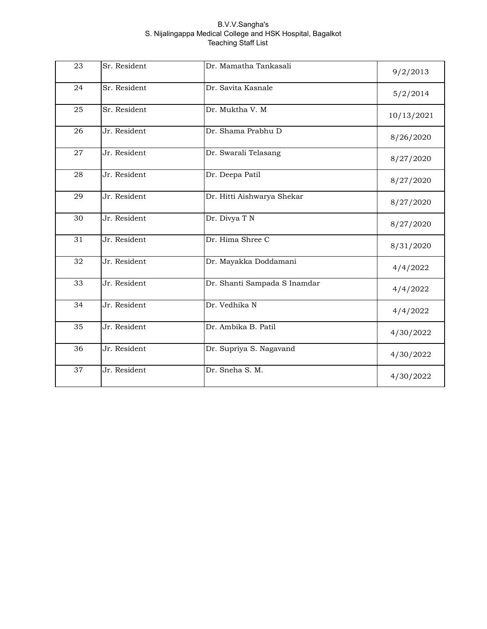| 23 | Sr. Resident | Dr. Mamatha Tankasali        | 9/2/2013   |
|----|--------------|------------------------------|------------|
| 24 | Sr. Resident | Dr. Savita Kasnale           | 5/2/2014   |
| 25 | Sr. Resident | Dr. Muktha V. M              | 10/13/2021 |
| 26 | Jr. Resident | Dr. Shama Prabhu D           | 8/26/2020  |
| 27 | Jr. Resident | Dr. Swarali Telasang         | 8/27/2020  |
| 28 | Jr. Resident | Dr. Deepa Patil              | 8/27/2020  |
| 29 | Jr. Resident | Dr. Hitti Aishwarya Shekar   | 8/27/2020  |
| 30 | Jr. Resident | Dr. Divya T N                | 8/27/2020  |
| 31 | Jr. Resident | Dr. Hima Shree C             | 8/31/2020  |
| 32 | Jr. Resident | Dr. Mayakka Doddamani        | 4/4/2022   |
| 33 | Jr. Resident | Dr. Shanti Sampada S Inamdar | 4/4/2022   |
| 34 | Jr. Resident | Dr. Vedhika N                | 4/4/2022   |
| 35 | Jr. Resident | Dr. Ambika B. Patil          | 4/30/2022  |
| 36 | Jr. Resident | Dr. Supriya S. Nagavand      | 4/30/2022  |
| 37 | Jr. Resident | Dr. Sneha S. M.              | 4/30/2022  |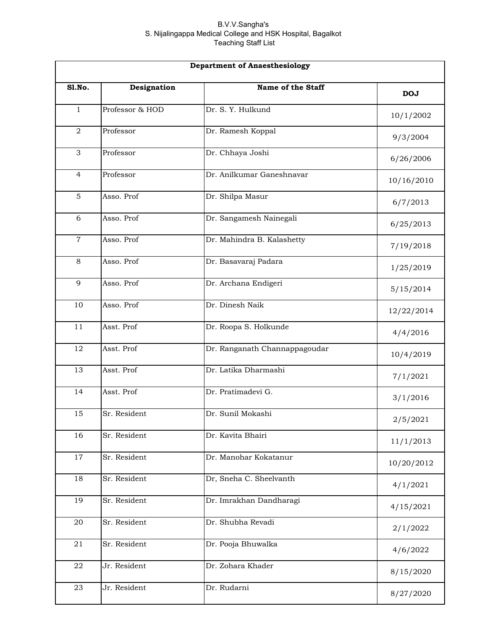| <b>Department of Anaesthesiology</b> |                 |                               |            |
|--------------------------------------|-----------------|-------------------------------|------------|
| Sl.No.                               | Designation     | Name of the Staff             | <b>DOJ</b> |
| $\mathbf{1}$                         | Professor & HOD | Dr. S. Y. Hulkund             | 10/1/2002  |
| $\overline{2}$                       | Professor       | Dr. Ramesh Koppal             | 9/3/2004   |
| 3                                    | Professor       | Dr. Chhaya Joshi              | 6/26/2006  |
| $\overline{4}$                       | Professor       | Dr. Anilkumar Ganeshnavar     | 10/16/2010 |
| 5                                    | Asso. Prof      | Dr. Shilpa Masur              | 6/7/2013   |
| 6                                    | Asso. Prof      | Dr. Sangamesh Nainegali       | 6/25/2013  |
| $\overline{7}$                       | Asso. Prof      | Dr. Mahindra B. Kalashetty    | 7/19/2018  |
| 8                                    | Asso. Prof      | Dr. Basavaraj Padara          | 1/25/2019  |
| 9                                    | Asso. Prof      | Dr. Archana Endigeri          | 5/15/2014  |
| 10                                   | Asso. Prof      | Dr. Dinesh Naik               | 12/22/2014 |
| 11                                   | Asst. Prof      | Dr. Roopa S. Holkunde         | 4/4/2016   |
| 12                                   | Asst. Prof      | Dr. Ranganath Channappagoudar | 10/4/2019  |
| 13                                   | Asst. Prof      | Dr. Latika Dharmashi          | 7/1/2021   |
| 14                                   | Asst. Prof      | Dr. Pratimadevi G.            | 3/1/2016   |
| 15                                   | Sr. Resident    | Dr. Sunil Mokashi             | 2/5/2021   |
| 16                                   | Sr. Resident    | Dr. Kavita Bhairi             | 11/1/2013  |
| 17                                   | Sr. Resident    | Dr. Manohar Kokatanur         | 10/20/2012 |
| 18                                   | Sr. Resident    | Dr, Sneha C. Sheelvanth       | 4/1/2021   |
| 19                                   | Sr. Resident    | Dr. Imrakhan Dandharagi       | 4/15/2021  |
| 20                                   | Sr. Resident    | Dr. Shubha Revadi             | 2/1/2022   |
| 21                                   | Sr. Resident    | Dr. Pooja Bhuwalka            | 4/6/2022   |
| 22                                   | Jr. Resident    | Dr. Zohara Khader             | 8/15/2020  |
| 23                                   | Jr. Resident    | Dr. Rudarni                   | 8/27/2020  |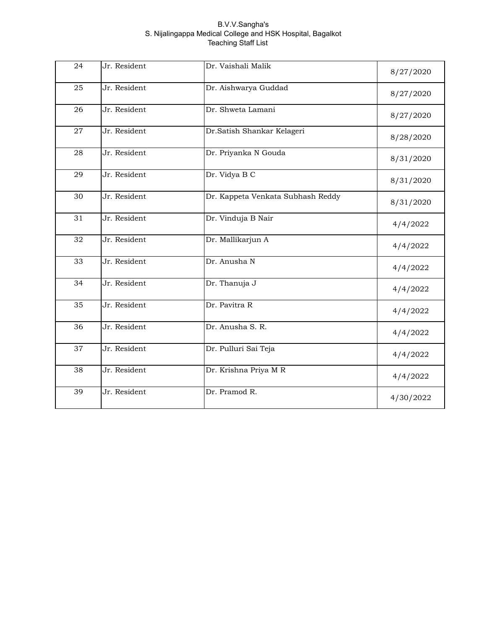| 24 | Jr. Resident | Dr. Vaishali Malik                | 8/27/2020 |
|----|--------------|-----------------------------------|-----------|
| 25 | Jr. Resident | Dr. Aishwarya Guddad              | 8/27/2020 |
| 26 | Jr. Resident | Dr. Shweta Lamani                 | 8/27/2020 |
| 27 | Jr. Resident | Dr.Satish Shankar Kelageri        | 8/28/2020 |
| 28 | Jr. Resident | Dr. Priyanka N Gouda              | 8/31/2020 |
| 29 | Jr. Resident | Dr. Vidya B C                     | 8/31/2020 |
| 30 | Jr. Resident | Dr. Kappeta Venkata Subhash Reddy | 8/31/2020 |
| 31 | Jr. Resident | Dr. Vinduja B Nair                | 4/4/2022  |
| 32 | Jr. Resident | Dr. Mallikarjun A                 | 4/4/2022  |
| 33 | Jr. Resident | Dr. Anusha N                      | 4/4/2022  |
| 34 | Jr. Resident | Dr. Thanuja J                     | 4/4/2022  |
| 35 | Jr. Resident | Dr. Pavitra R                     | 4/4/2022  |
| 36 | Jr. Resident | Dr. Anusha S. R.                  | 4/4/2022  |
| 37 | Jr. Resident | Dr. Pulluri Sai Teja              | 4/4/2022  |
| 38 | Jr. Resident | Dr. Krishna Priya M R             | 4/4/2022  |
| 39 | Jr. Resident | Dr. Pramod R.                     | 4/30/2022 |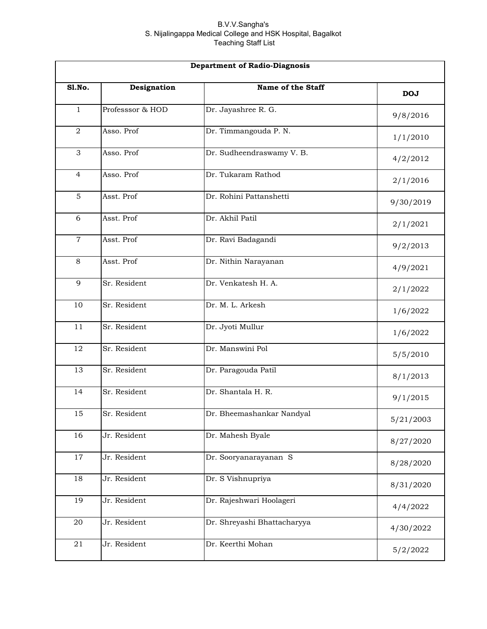|                | <b>Department of Radio-Diagnosis</b> |                             |            |  |
|----------------|--------------------------------------|-----------------------------|------------|--|
| <b>S1.No.</b>  | Designation                          | Name of the Staff           | <b>DOJ</b> |  |
| $\mathbf{1}$   | Professsor & HOD                     | Dr. Jayashree R. G.         | 9/8/2016   |  |
| $\overline{a}$ | Asso. Prof                           | Dr. Timmangouda P. N.       | 1/1/2010   |  |
| 3              | Asso. Prof                           | Dr. Sudheendraswamy V. B.   | 4/2/2012   |  |
| $\overline{4}$ | Asso. Prof                           | Dr. Tukaram Rathod          | 2/1/2016   |  |
| $\overline{5}$ | Asst. Prof                           | Dr. Rohini Pattanshetti     | 9/30/2019  |  |
| 6              | Asst. Prof                           | Dr. Akhil Patil             | 2/1/2021   |  |
| $\overline{7}$ | Asst. Prof                           | Dr. Ravi Badagandi          | 9/2/2013   |  |
| 8              | Asst. Prof                           | Dr. Nithin Narayanan        | 4/9/2021   |  |
| 9              | Sr. Resident                         | Dr. Venkatesh H. A.         | 2/1/2022   |  |
| 10             | Sr. Resident                         | Dr. M. L. Arkesh            | 1/6/2022   |  |
| 11             | Sr. Resident                         | Dr. Jyoti Mullur            | 1/6/2022   |  |
| 12             | Sr. Resident                         | Dr. Manswini Pol            | 5/5/2010   |  |
| 13             | Sr. Resident                         | Dr. Paragouda Patil         | 8/1/2013   |  |
| 14             | Sr. Resident                         | Dr. Shantala H. R.          | 9/1/2015   |  |
| 15             | Sr. Resident                         | Dr. Bheemashankar Nandyal   | 5/21/2003  |  |
| 16             | Jr. Resident                         | Dr. Mahesh Byale            | 8/27/2020  |  |
| 17             | Jr. Resident                         | Dr. Sooryanarayanan S       | 8/28/2020  |  |
| 18             | Jr. Resident                         | Dr. S Vishnupriya           | 8/31/2020  |  |
| 19             | Jr. Resident                         | Dr. Rajeshwari Hoolageri    | 4/4/2022   |  |
| 20             | Jr. Resident                         | Dr. Shreyashi Bhattacharyya | 4/30/2022  |  |
| 21             | Jr. Resident                         | Dr. Keerthi Mohan           | 5/2/2022   |  |